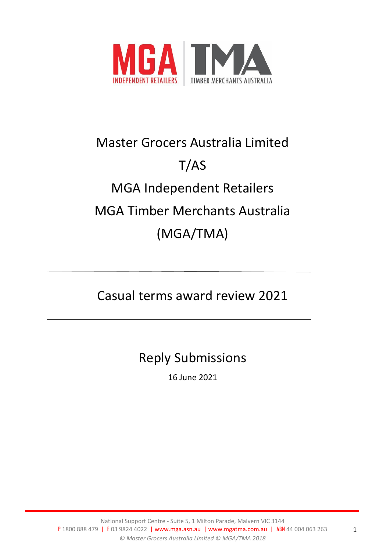

# Master Grocers Australia Limited T/AS MGA Independent Retailers MGA Timber Merchants Australia (MGA/TMA)

# Casual terms award review 2021

# Reply Submissions

16 June 2021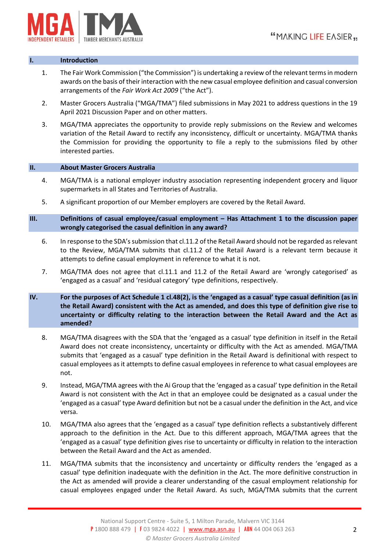

#### **I. Introduction**

- 1. The Fair Work Commission ("the Commission") is undertaking a review of the relevant terms in modern awards on the basis of their interaction with the new casual employee definition and casual conversion arrangements of the *Fair Work Act 2009* ("the Act").
- 2. Master Grocers Australia ("MGA/TMA") filed submissions in May 2021 to address questions in the 19 April 2021 Discussion Paper and on other matters.
- 3. MGA/TMA appreciates the opportunity to provide reply submissions on the Review and welcomes variation of the Retail Award to rectify any inconsistency, difficult or uncertainty. MGA/TMA thanks the Commission for providing the opportunity to file a reply to the submissions filed by other interested parties.

#### **II. About Master Grocers Australia**

- 4. MGA/TMA is a national employer industry association representing independent grocery and liquor supermarkets in all States and Territories of Australia.
- 5. A significant proportion of our Member employers are covered by the Retail Award.
- **III. Definitions of casual employee/casual employment – Has Attachment 1 to the discussion paper wrongly categorised the casual definition in any award?**
	- 6. In response to the SDA's submission that cl.11.2 of the Retail Award should not be regarded as relevant to the Review, MGA/TMA submits that cl.11.2 of the Retail Award is a relevant term because it attempts to define casual employment in reference to what it is not.
	- 7. MGA/TMA does not agree that cl.11.1 and 11.2 of the Retail Award are 'wrongly categorised' as 'engaged as a casual' and 'residual category' type definitions, respectively.
- **IV. For the purposes of Act Schedule 1 cl.48(2), is the 'engaged as a casual' type casual definition (as in the Retail Award) consistent with the Act as amended, and does this type of definition give rise to uncertainty or difficulty relating to the interaction between the Retail Award and the Act as amended?**
	- 8. MGA/TMA disagrees with the SDA that the 'engaged as a casual' type definition in itself in the Retail Award does not create inconsistency, uncertainty or difficulty with the Act as amended. MGA/TMA submits that 'engaged as a casual' type definition in the Retail Award is definitional with respect to casual employees as it attempts to define casual employees in reference to what casual employees are not.
	- 9. Instead, MGA/TMA agrees with the Ai Group that the 'engaged as a casual' type definition in the Retail Award is not consistent with the Act in that an employee could be designated as a casual under the 'engaged as a casual' type Award definition but not be a casual under the definition in the Act, and vice versa.
	- 10. MGA/TMA also agrees that the 'engaged as a casual' type definition reflects a substantively different approach to the definition in the Act. Due to this different approach, MGA/TMA agrees that the 'engaged as a casual' type definition gives rise to uncertainty or difficulty in relation to the interaction between the Retail Award and the Act as amended.
	- 11. MGA/TMA submits that the inconsistency and uncertainty or difficulty renders the 'engaged as a casual' type definition inadequate with the definition in the Act. The more definitive construction in the Act as amended will provide a clearer understanding of the casual employment relationship for casual employees engaged under the Retail Award. As such, MGA/TMA submits that the current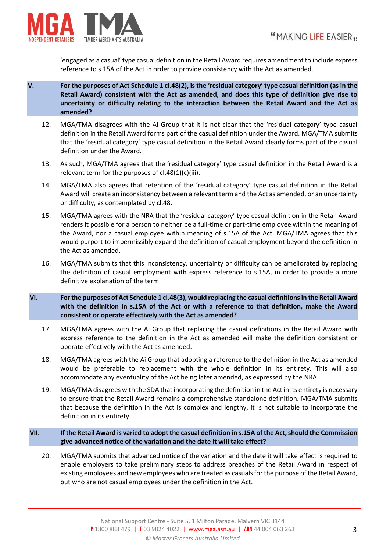

'engaged as a casual' type casual definition in the Retail Award requires amendment to include express reference to s.15A of the Act in order to provide consistency with the Act as amended.

- **V. For the purposes of Act Schedule 1 cl.48(2), is the 'residual category' type casual definition (as in the Retail Award) consistent with the Act as amended, and does this type of definition give rise to uncertainty or difficulty relating to the interaction between the Retail Award and the Act as amended?**
	- 12. MGA/TMA disagrees with the Ai Group that it is not clear that the 'residual category' type casual definition in the Retail Award forms part of the casual definition under the Award. MGA/TMA submits that the 'residual category' type casual definition in the Retail Award clearly forms part of the casual definition under the Award.
	- 13. As such, MGA/TMA agrees that the 'residual category' type casual definition in the Retail Award is a relevant term for the purposes of cl.48(1)(c)(iii).
	- 14. MGA/TMA also agrees that retention of the 'residual category' type casual definition in the Retail Award will create an inconsistency between a relevant term and the Act as amended, or an uncertainty or difficulty, as contemplated by cl.48.
	- 15. MGA/TMA agrees with the NRA that the 'residual category' type casual definition in the Retail Award renders it possible for a person to neither be a full-time or part-time employee within the meaning of the Award, nor a casual employee within meaning of s.15A of the Act. MGA/TMA agrees that this would purport to impermissibly expand the definition of casual employment beyond the definition in the Act as amended.
	- 16. MGA/TMA submits that this inconsistency, uncertainty or difficulty can be ameliorated by replacing the definition of casual employment with express reference to s.15A, in order to provide a more definitive explanation of the term.
- **VI. For the purposes of Act Schedule 1 cl.48(3), would replacing the casual definitions in the Retail Award with the definition in s.15A of the Act or with a reference to that definition, make the Award consistent or operate effectively with the Act as amended?**
	- 17. MGA/TMA agrees with the Ai Group that replacing the casual definitions in the Retail Award with express reference to the definition in the Act as amended will make the definition consistent or operate effectively with the Act as amended.
	- 18. MGA/TMA agrees with the Ai Group that adopting a reference to the definition in the Act as amended would be preferable to replacement with the whole definition in its entirety. This will also accommodate any eventuality of the Act being later amended, as expressed by the NRA.
	- 19. MGA/TMA disagrees with the SDA that incorporating the definition in the Act in its entirety is necessary to ensure that the Retail Award remains a comprehensive standalone definition. MGA/TMA submits that because the definition in the Act is complex and lengthy, it is not suitable to incorporate the definition in its entirety.
- **VII. If the Retail Award is varied to adopt the casual definition in s.15A of the Act, should the Commission give advanced notice of the variation and the date it will take effect?**
	- 20. MGA/TMA submits that advanced notice of the variation and the date it will take effect is required to enable employers to take preliminary steps to address breaches of the Retail Award in respect of existing employees and new employees who are treated as casuals for the purpose of the Retail Award, but who are not casual employees under the definition in the Act.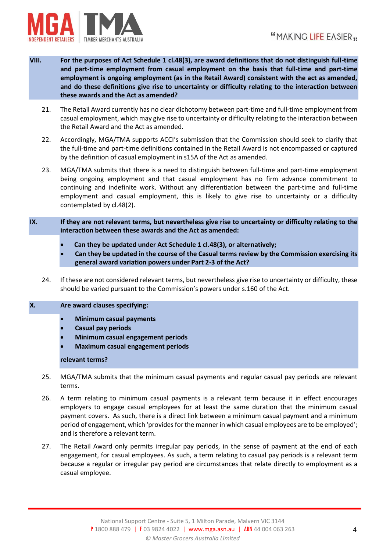

- **VIII. For the purposes of Act Schedule 1 cl.48(3), are award definitions that do not distinguish full-time and part-time employment from casual employment on the basis that full-time and part-time employment is ongoing employment (as in the Retail Award) consistent with the act as amended, and do these definitions give rise to uncertainty or difficulty relating to the interaction between these awards and the Act as amended?**
	- 21. The Retail Award currently has no clear dichotomy between part-time and full-time employment from casual employment, which may give rise to uncertainty or difficulty relating to the interaction between the Retail Award and the Act as amended.
	- 22. Accordingly, MGA/TMA supports ACCI's submission that the Commission should seek to clarify that the full-time and part-time definitions contained in the Retail Award is not encompassed or captured by the definition of casual employment in s15A of the Act as amended.
	- 23. MGA/TMA submits that there is a need to distinguish between full-time and part-time employment being ongoing employment and that casual employment has no firm advance commitment to continuing and indefinite work. Without any differentiation between the part-time and full-time employment and casual employment, this is likely to give rise to uncertainty or a difficulty contemplated by cl.48(2).
- **IX. If they are not relevant terms, but nevertheless give rise to uncertainty or difficulty relating to the interaction between these awards and the Act as amended:**
	- **Can they be updated under Act Schedule 1 cl.48(3), or alternatively;**
	- **Can they be updated in the course of the Casual terms review by the Commission exercising its general award variation powers under Part 2-3 of the Act?**
	- 24. If these are not considered relevant terms, but nevertheless give rise to uncertainty or difficulty, these should be varied pursuant to the Commission's powers under s.160 of the Act.

### **X. Are award clauses specifying:**

- **Minimum casual payments**
- **Casual pay periods**
- **Minimum casual engagement periods**
- **Maximum casual engagement periods**

### **relevant terms?**

- 25. MGA/TMA submits that the minimum casual payments and regular casual pay periods are relevant terms.
- 26. A term relating to minimum casual payments is a relevant term because it in effect encourages employers to engage casual employees for at least the same duration that the minimum casual payment covers. As such, there is a direct link between a minimum casual payment and a minimum period of engagement, which 'provides for the manner in which casual employees are to be employed'; and is therefore a relevant term.
- 27. The Retail Award only permits irregular pay periods, in the sense of payment at the end of each engagement, for casual employees. As such, a term relating to casual pay periods is a relevant term because a regular or irregular pay period are circumstances that relate directly to employment as a casual employee.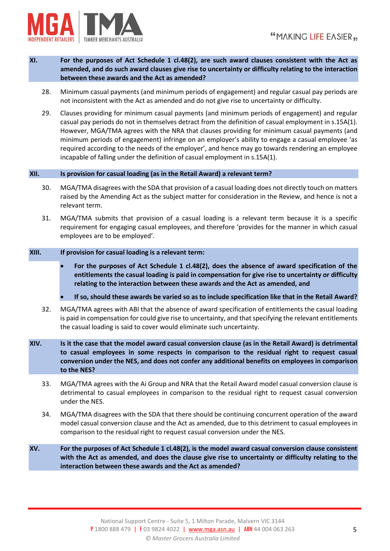

- **XI. For the purposes of Act Schedule 1 cl.48(2), are such award clauses consistent with the Act as amended, and do such award clauses give rise to uncertainty or difficulty relating to the interaction between these awards and the Act as amended?**
	- 28. Minimum casual payments (and minimum periods of engagement) and regular casual pay periods are not inconsistent with the Act as amended and do not give rise to uncertainty or difficulty.
	- 29. Clauses providing for minimum casual payments (and minimum periods of engagement) and regular casual pay periods do not in themselves detract from the definition of casual employment in s.15A(1). However, MGA/TMA agrees with the NRA that clauses providing for minimum casual payments (and minimum periods of engagement) infringe on an employer's ability to engage a casual employee 'as required according to the needs of the employer', and hence may go towards rendering an employee incapable of falling under the definition of casual employment in s.15A(1).

### **XII. Is provision for casual loading (as in the Retail Award) a relevant term?**

- 30. MGA/TMA disagrees with the SDA that provision of a casual loading does not directly touch on matters raised by the Amending Act as the subject matter for consideration in the Review, and hence is not a relevant term.
- 31. MGA/TMA submits that provision of a casual loading is a relevant term because it is a specific requirement for engaging casual employees, and therefore 'provides for the manner in which casual employees are to be employed'.

#### **XIII. If provision for casual loading is a relevant term:**

- **For the purposes of Act Schedule 1 cl.48(2), does the absence of award specification of the entitlements the casual loading is paid in compensation for give rise to uncertainty or difficulty relating to the interaction between these awards and the Act as amended, and**
- **If so, should these awards be varied so as to include specification like that in the Retail Award?**
- 32. MGA/TMA agrees with ABI that the absence of award specification of entitlements the casual loading is paid in compensation for could give rise to uncertainty, and that specifying the relevant entitlements the casual loading is said to cover would eliminate such uncertainty.
- **XIV. Is it the case that the model award casual conversion clause (as in the Retail Award) is detrimental to casual employees in some respects in comparison to the residual right to request casual conversion under the NES, and does not confer any additional benefits on employees in comparison to the NES?**
	- 33. MGA/TMA agrees with the Ai Group and NRA that the Retail Award model casual conversion clause is detrimental to casual employees in comparison to the residual right to request casual conversion under the NES.
	- 34. MGA/TMA disagrees with the SDA that there should be continuing concurrent operation of the award model casual conversion clause and the Act as amended, due to this detriment to casual employees in comparison to the residual right to request casual conversion under the NES.
- **XV. For the purposes of Act Schedule 1 cl.48(2), is the model award casual conversion clause consistent with the Act as amended, and does the clause give rise to uncertainty or difficulty relating to the interaction between these awards and the Act as amended?**